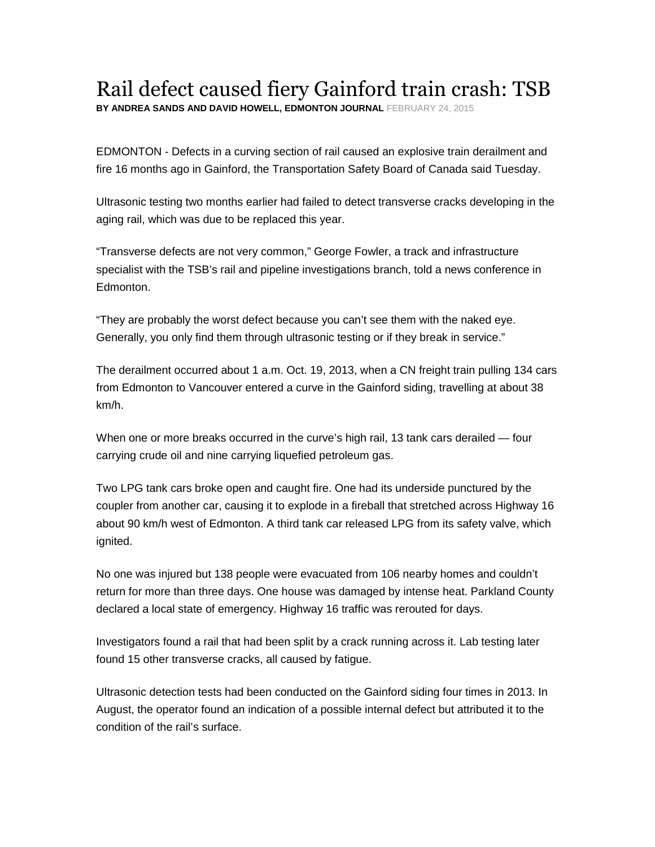## Rail defect caused fiery Gainford train crash: TSB

**BY ANDREA SANDS AND DAVID HOWELL, EDMONTON JOURNAL** FEBRUARY 24, 2015

EDMONTON - Defects in a curving section of rail caused an explosive train derailment and fire 16 months ago in Gainford, the Transportation Safety Board of Canada said Tuesday.

Ultrasonic testing two months earlier had failed to detect transverse cracks developing in the aging rail, which was due to be replaced this year.

"Transverse defects are not very common," George Fowler, a track and infrastructure specialist with the TSB's rail and pipeline investigations branch, told a news conference in Edmonton.

"They are probably the worst defect because you can't see them with the naked eye. Generally, you only find them through ultrasonic testing or if they break in service."

The derailment occurred about 1 a.m. Oct. 19, 2013, when a CN freight train pulling 134 cars from Edmonton to Vancouver entered a curve in the Gainford siding, travelling at about 38 km/h.

When one or more breaks occurred in the curve's high rail, 13 tank cars derailed — four carrying crude oil and nine carrying liquefied petroleum gas.

Two LPG tank cars broke open and caught fire. One had its underside punctured by the coupler from another car, causing it to explode in a fireball that stretched across Highway 16 about 90 km/h west of Edmonton. A third tank car released LPG from its safety valve, which ignited.

No one was injured but 138 people were evacuated from 106 nearby homes and couldn't return for more than three days. One house was damaged by intense heat. Parkland County declared a local state of emergency. Highway 16 traffic was rerouted for days.

Investigators found a rail that had been split by a crack running across it. Lab testing later found 15 other transverse cracks, all caused by fatigue.

Ultrasonic detection tests had been conducted on the Gainford siding four times in 2013. In August, the operator found an indication of a possible internal defect but attributed it to the condition of the rail's surface.